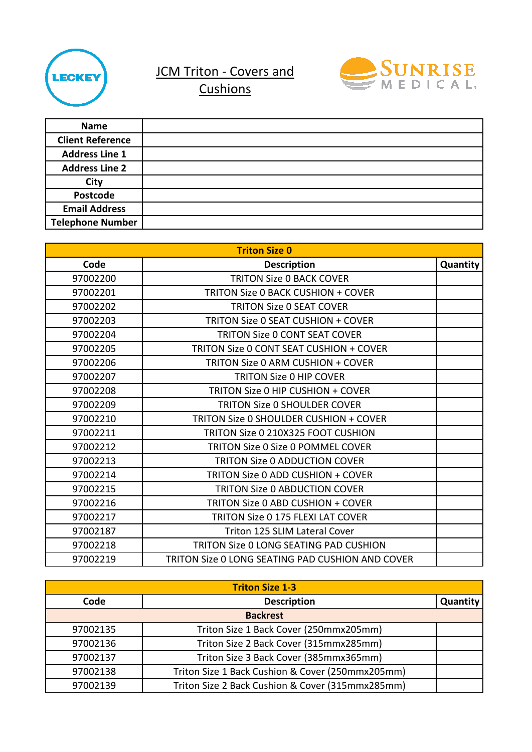

JCM Triton - Covers and



**Cushions** 

| <b>Name</b>             |  |
|-------------------------|--|
| <b>Client Reference</b> |  |
| <b>Address Line 1</b>   |  |
| <b>Address Line 2</b>   |  |
| <b>City</b>             |  |
| Postcode                |  |
| <b>Email Address</b>    |  |
| <b>Telephone Number</b> |  |

| <b>Triton Size 0</b> |                                                  |          |
|----------------------|--------------------------------------------------|----------|
| Code                 | <b>Description</b>                               | Quantity |
| 97002200             | <b>TRITON Size O BACK COVER</b>                  |          |
| 97002201             | <b>TRITON Size 0 BACK CUSHION + COVER</b>        |          |
| 97002202             | <b>TRITON Size 0 SEAT COVER</b>                  |          |
| 97002203             | <b>TRITON Size 0 SEAT CUSHION + COVER</b>        |          |
| 97002204             | <b>TRITON Size 0 CONT SEAT COVER</b>             |          |
| 97002205             | TRITON Size 0 CONT SEAT CUSHION + COVER          |          |
| 97002206             | <b>TRITON Size 0 ARM CUSHION + COVER</b>         |          |
| 97002207             | <b>TRITON Size 0 HIP COVER</b>                   |          |
| 97002208             | TRITON Size 0 HIP CUSHION + COVER                |          |
| 97002209             | <b>TRITON Size 0 SHOULDER COVER</b>              |          |
| 97002210             | TRITON Size 0 SHOULDER CUSHION + COVER           |          |
| 97002211             | TRITON Size 0 210X325 FOOT CUSHION               |          |
| 97002212             | <b>TRITON Size 0 Size 0 POMMEL COVER</b>         |          |
| 97002213             | <b>TRITON Size 0 ADDUCTION COVER</b>             |          |
| 97002214             | TRITON Size 0 ADD CUSHION + COVER                |          |
| 97002215             | <b>TRITON Size 0 ABDUCTION COVER</b>             |          |
| 97002216             | <b>TRITON Size 0 ABD CUSHION + COVER</b>         |          |
| 97002217             | <b>TRITON Size 0 175 FLEXI LAT COVER</b>         |          |
| 97002187             | <b>Triton 125 SLIM Lateral Cover</b>             |          |
| 97002218             | <b>TRITON Size O LONG SEATING PAD CUSHION</b>    |          |
| 97002219             | TRITON Size 0 LONG SEATING PAD CUSHION AND COVER |          |

| <b>Triton Size 1-3</b> |                                                  |          |
|------------------------|--------------------------------------------------|----------|
| Code                   | <b>Description</b>                               | Quantity |
| <b>Backrest</b>        |                                                  |          |
| 97002135               | Triton Size 1 Back Cover (250mmx205mm)           |          |
| 97002136               | Triton Size 2 Back Cover (315mmx285mm)           |          |
| 97002137               | Triton Size 3 Back Cover (385mmx365mm)           |          |
| 97002138               | Triton Size 1 Back Cushion & Cover (250mmx205mm) |          |
| 97002139               | Triton Size 2 Back Cushion & Cover (315mmx285mm) |          |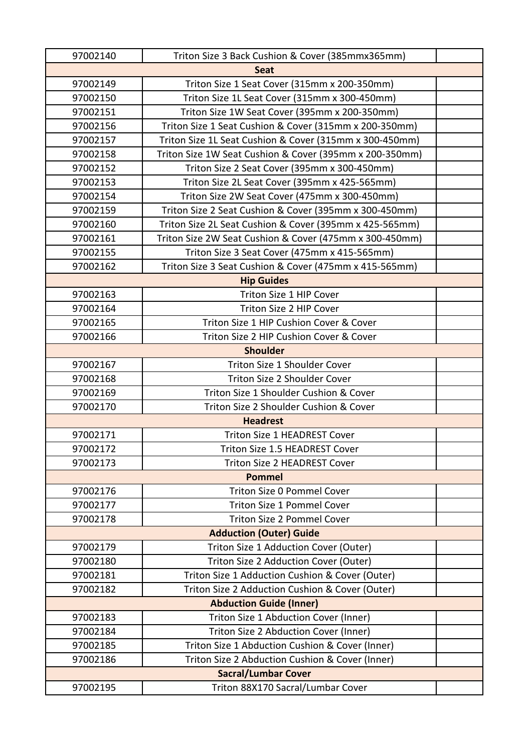| 97002140                       | Triton Size 3 Back Cushion & Cover (385mmx365mm)        |  |
|--------------------------------|---------------------------------------------------------|--|
| <b>Seat</b>                    |                                                         |  |
| 97002149                       | Triton Size 1 Seat Cover (315mm x 200-350mm)            |  |
| 97002150                       | Triton Size 1L Seat Cover (315mm x 300-450mm)           |  |
| 97002151                       | Triton Size 1W Seat Cover (395mm x 200-350mm)           |  |
| 97002156                       | Triton Size 1 Seat Cushion & Cover (315mm x 200-350mm)  |  |
| 97002157                       | Triton Size 1L Seat Cushion & Cover (315mm x 300-450mm) |  |
| 97002158                       | Triton Size 1W Seat Cushion & Cover (395mm x 200-350mm) |  |
| 97002152                       | Triton Size 2 Seat Cover (395mm x 300-450mm)            |  |
| 97002153                       | Triton Size 2L Seat Cover (395mm x 425-565mm)           |  |
| 97002154                       | Triton Size 2W Seat Cover (475mm x 300-450mm)           |  |
| 97002159                       | Triton Size 2 Seat Cushion & Cover (395mm x 300-450mm)  |  |
| 97002160                       | Triton Size 2L Seat Cushion & Cover (395mm x 425-565mm) |  |
| 97002161                       | Triton Size 2W Seat Cushion & Cover (475mm x 300-450mm) |  |
| 97002155                       | Triton Size 3 Seat Cover (475mm x 415-565mm)            |  |
| 97002162                       | Triton Size 3 Seat Cushion & Cover (475mm x 415-565mm)  |  |
|                                | <b>Hip Guides</b>                                       |  |
| 97002163                       | Triton Size 1 HIP Cover                                 |  |
| 97002164                       | Triton Size 2 HIP Cover                                 |  |
| 97002165                       | Triton Size 1 HIP Cushion Cover & Cover                 |  |
| 97002166                       | Triton Size 2 HIP Cushion Cover & Cover                 |  |
|                                | <b>Shoulder</b>                                         |  |
| 97002167                       | <b>Triton Size 1 Shoulder Cover</b>                     |  |
| 97002168                       | Triton Size 2 Shoulder Cover                            |  |
| 97002169                       | Triton Size 1 Shoulder Cushion & Cover                  |  |
| 97002170                       | Triton Size 2 Shoulder Cushion & Cover                  |  |
|                                | <b>Headrest</b>                                         |  |
| 97002171                       | Triton Size 1 HEADREST Cover                            |  |
| 97002172                       | Triton Size 1.5 HEADREST Cover                          |  |
| 97002173                       | <b>Triton Size 2 HEADREST Cover</b>                     |  |
|                                | <b>Pommel</b>                                           |  |
| 97002176                       | Triton Size 0 Pommel Cover                              |  |
| 97002177                       | <b>Triton Size 1 Pommel Cover</b>                       |  |
| 97002178                       | <b>Triton Size 2 Pommel Cover</b>                       |  |
|                                | <b>Adduction (Outer) Guide</b>                          |  |
| 97002179                       | Triton Size 1 Adduction Cover (Outer)                   |  |
| 97002180                       | Triton Size 2 Adduction Cover (Outer)                   |  |
| 97002181                       | Triton Size 1 Adduction Cushion & Cover (Outer)         |  |
| 97002182                       | Triton Size 2 Adduction Cushion & Cover (Outer)         |  |
| <b>Abduction Guide (Inner)</b> |                                                         |  |
| 97002183                       | Triton Size 1 Abduction Cover (Inner)                   |  |
| 97002184                       | Triton Size 2 Abduction Cover (Inner)                   |  |
| 97002185                       | Triton Size 1 Abduction Cushion & Cover (Inner)         |  |
| 97002186                       | Triton Size 2 Abduction Cushion & Cover (Inner)         |  |
| <b>Sacral/Lumbar Cover</b>     |                                                         |  |
| 97002195                       | Triton 88X170 Sacral/Lumbar Cover                       |  |